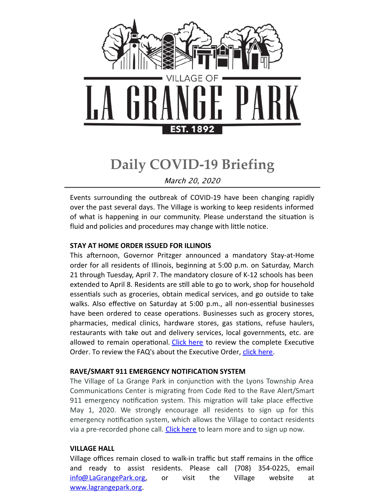

# **Daily COVID-19 Briefing**

March 20, 2020

Events surrounding the outbreak of COVID-19 have been changing rapidly over the past several days. The Village is working to keep residents informed of what is happening in our community. Please understand the situation is fluid and policies and procedures may change with little notice.

#### **STAY AT HOME ORDER ISSUED FOR ILLINOIS**

This afternoon, Governor Pritzger announced a mandatory Stay-at-Home order for all residents of Illinois, beginning at 5:00 p.m. on Saturday, March 21 through Tuesday, April 7. The mandatory closure of K-12 schools has been extended to April 8. Residents are still able to go to work, shop for household essentials such as groceries, obtain medical services, and go outside to take walks. Also effective on Saturday at 5:00 p.m., all non-essential businesses have been ordered to cease operations. Businesses such as grocery stores, pharmacies, medical clinics, hardware stores, gas stations, refuse haulers, restaurants with take out and delivery services, local governments, etc. are allowed to remain operational. [Click](https://files.constantcontact.com/fac2adf0101/a2e0aa94-a735-498e-90ee-3b48afbcaef7.pdf) here to review the complete Executive Order. To review the FAQ's about the Executive Order, click [here](https://files.constantcontact.com/fac2adf0101/9380fabf-7e4d-4c29-9ac1-028d1e0ab60b.pdf).

#### **RAVE/SMART 911 EMERGENCY NOTIFICATION SYSTEM**

The Village of La Grange Park in conjunction with the Lyons Township Area Communications Center is migrating from Code Red to the Rave Alert/Smart 911 emergency notification system. This migration will take place effective May 1, 2020. We strongly encourage all residents to sign up for this emergency notification system, which allows the Village to contact residents via a pre-recorded phone call. [Click](http://www.lagrangepark.org/CivicAlerts.aspx?AID=195) here to learn more and to sign up now.

## **VILLAGE HALL**

Village offices remain closed to walk-in traffic but staff remains in the office and ready to assist residents. Please call (708) 354-0225, email [info@LaGrangePark.org](mailto:info@LaGrangePark.org), or visit the Village website at [www.lagrangepark.org.](http://www.lagrangepark.org.)